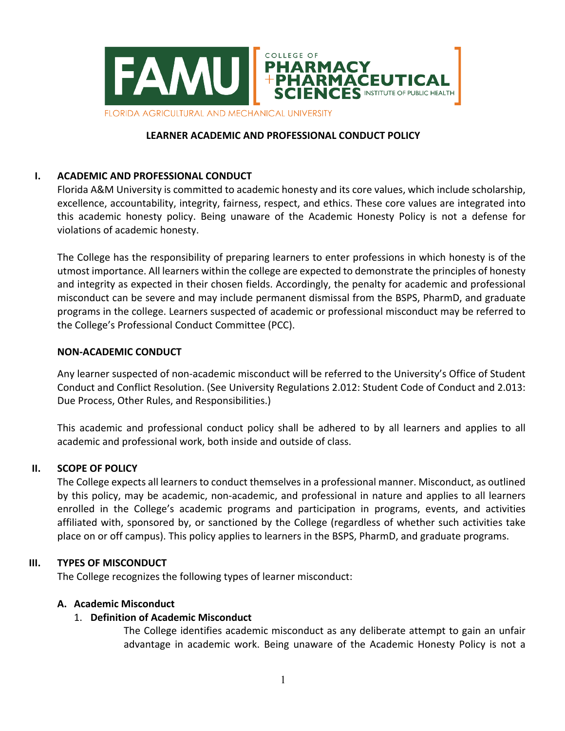

#### **LEARNER ACADEMIC AND PROFESSIONAL CONDUCT POLICY**

### **I. ACADEMIC AND PROFESSIONAL CONDUCT**

Florida A&M University is committed to academic honesty and its core values, which include scholarship, excellence, accountability, integrity, fairness, respect, and ethics. These core values are integrated into this academic honesty policy. Being unaware of the Academic Honesty Policy is not a defense for violations of academic honesty.

The College has the responsibility of preparing learners to enter professions in which honesty is of the utmost importance. All learners within the college are expected to demonstrate the principles of honesty and integrity as expected in their chosen fields. Accordingly, the penalty for academic and professional misconduct can be severe and may include permanent dismissal from the BSPS, PharmD, and graduate programs in the college. Learners suspected of academic or professional misconduct may be referred to the College's Professional Conduct Committee (PCC).

#### **NON-ACADEMIC CONDUCT**

Any learner suspected of non-academic misconduct will be referred to the University's Office of Student Conduct and Conflict Resolution. (See University Regulations 2.012: Student Code of Conduct and 2.013: Due Process, Other Rules, and Responsibilities.)

This academic and professional conduct policy shall be adhered to by all learners and applies to all academic and professional work, both inside and outside of class.

#### **II. SCOPE OF POLICY**

The College expects all learners to conduct themselves in a professional manner. Misconduct, as outlined by this policy, may be academic, non-academic, and professional in nature and applies to all learners enrolled in the College's academic programs and participation in programs, events, and activities affiliated with, sponsored by, or sanctioned by the College (regardless of whether such activities take place on or off campus). This policy applies to learners in the BSPS, PharmD, and graduate programs.

#### **III. TYPES OF MISCONDUCT**

The College recognizes the following types of learner misconduct:

#### **A. Academic Misconduct**

#### 1. **Definition of Academic Misconduct**

The College identifies academic misconduct as any deliberate attempt to gain an unfair advantage in academic work. Being unaware of the Academic Honesty Policy is not a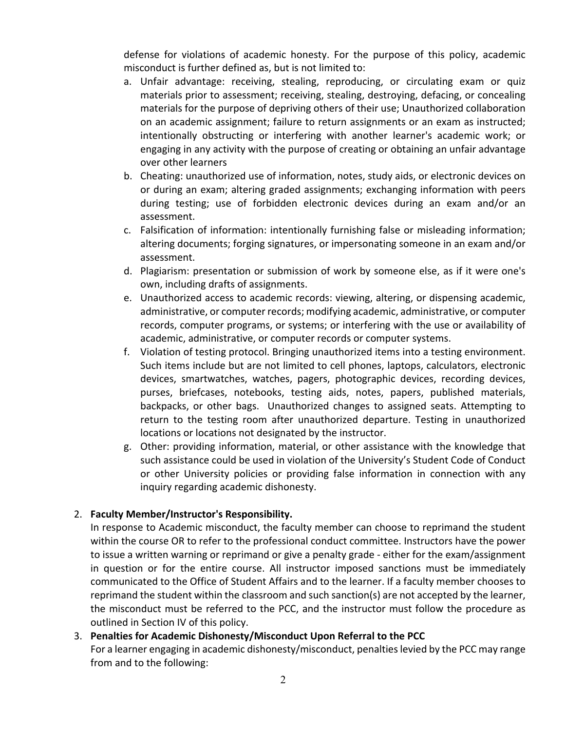defense for violations of academic honesty. For the purpose of this policy, academic misconduct is further defined as, but is not limited to:

- a. Unfair advantage: receiving, stealing, reproducing, or circulating exam or quiz materials prior to assessment; receiving, stealing, destroying, defacing, or concealing materials for the purpose of depriving others of their use; Unauthorized collaboration on an academic assignment; failure to return assignments or an exam as instructed; intentionally obstructing or interfering with another learner's academic work; or engaging in any activity with the purpose of creating or obtaining an unfair advantage over other learners
- b. Cheating: unauthorized use of information, notes, study aids, or electronic devices on or during an exam; altering graded assignments; exchanging information with peers during testing; use of forbidden electronic devices during an exam and/or an assessment.
- c. Falsification of information: intentionally furnishing false or misleading information; altering documents; forging signatures, or impersonating someone in an exam and/or assessment.
- d. Plagiarism: presentation or submission of work by someone else, as if it were one's own, including drafts of assignments.
- e. Unauthorized access to academic records: viewing, altering, or dispensing academic, administrative, or computer records; modifying academic, administrative, or computer records, computer programs, or systems; or interfering with the use or availability of academic, administrative, or computer records or computer systems.
- f. Violation of testing protocol. Bringing unauthorized items into a testing environment. Such items include but are not limited to cell phones, laptops, calculators, electronic devices, smartwatches, watches, pagers, photographic devices, recording devices, purses, briefcases, notebooks, testing aids, notes, papers, published materials, backpacks, or other bags. Unauthorized changes to assigned seats. Attempting to return to the testing room after unauthorized departure. Testing in unauthorized locations or locations not designated by the instructor.
- g. Other: providing information, material, or other assistance with the knowledge that such assistance could be used in violation of the University's Student Code of Conduct or other University policies or providing false information in connection with any inquiry regarding academic dishonesty.

## 2. **Faculty Member/Instructor's Responsibility.**

In response to Academic misconduct, the faculty member can choose to reprimand the student within the course OR to refer to the professional conduct committee. Instructors have the power to issue a written warning or reprimand or give a penalty grade - either for the exam/assignment in question or for the entire course. All instructor imposed sanctions must be immediately communicated to the Office of Student Affairs and to the learner. If a faculty member chooses to reprimand the student within the classroom and such sanction(s) are not accepted by the learner, the misconduct must be referred to the PCC, and the instructor must follow the procedure as outlined in Section IV of this policy.

## 3. **Penalties for Academic Dishonesty/Misconduct Upon Referral to the PCC**

For a learner engaging in academic dishonesty/misconduct, penaltieslevied by the PCC may range from and to the following: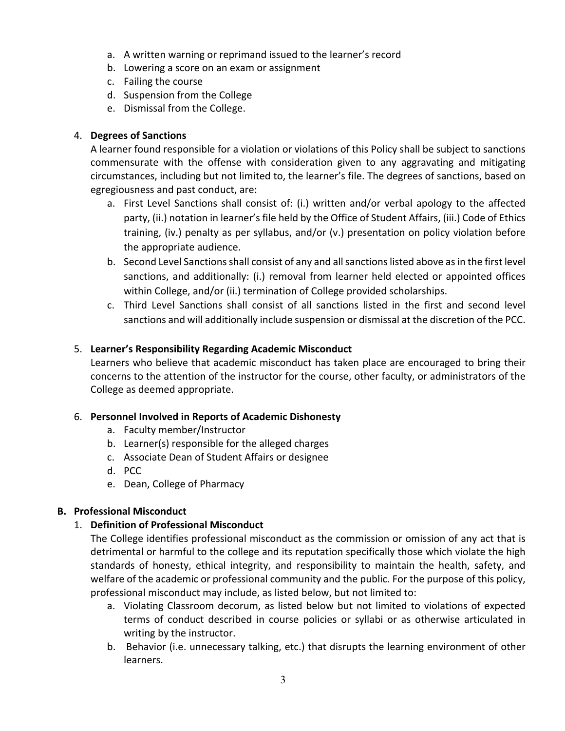- a. A written warning or reprimand issued to the learner's record
- b. Lowering a score on an exam or assignment
- c. Failing the course
- d. Suspension from the College
- e. Dismissal from the College.

# 4. **Degrees of Sanctions**

A learner found responsible for a violation or violations of this Policy shall be subject to sanctions commensurate with the offense with consideration given to any aggravating and mitigating circumstances, including but not limited to, the learner's file. The degrees of sanctions, based on egregiousness and past conduct, are:

- a. First Level Sanctions shall consist of: (i.) written and/or verbal apology to the affected party, (ii.) notation in learner's file held by the Office of Student Affairs, (iii.) Code of Ethics training, (iv.) penalty as per syllabus, and/or (v.) presentation on policy violation before the appropriate audience.
- b. Second Level Sanctions shall consist of any and all sanctions listed above as in the first level sanctions, and additionally: (i.) removal from learner held elected or appointed offices within College, and/or (ii.) termination of College provided scholarships.
- c. Third Level Sanctions shall consist of all sanctions listed in the first and second level sanctions and will additionally include suspension or dismissal at the discretion of the PCC.

# 5. **Learner's Responsibility Regarding Academic Misconduct**

Learners who believe that academic misconduct has taken place are encouraged to bring their concerns to the attention of the instructor for the course, other faculty, or administrators of the College as deemed appropriate.

## 6. **Personnel Involved in Reports of Academic Dishonesty**

- a. Faculty member/Instructor
- b. Learner(s) responsible for the alleged charges
- c. Associate Dean of Student Affairs or designee
- d. PCC
- e. Dean, College of Pharmacy

## **B. Professional Misconduct**

# 1. **Definition of Professional Misconduct**

The College identifies professional misconduct as the commission or omission of any act that is detrimental or harmful to the college and its reputation specifically those which violate the high standards of honesty, ethical integrity, and responsibility to maintain the health, safety, and welfare of the academic or professional community and the public. For the purpose of this policy, professional misconduct may include, as listed below, but not limited to:

- a. Violating Classroom decorum, as listed below but not limited to violations of expected terms of conduct described in course policies or syllabi or as otherwise articulated in writing by the instructor.
- b. Behavior (i.e. unnecessary talking, etc.) that disrupts the learning environment of other learners.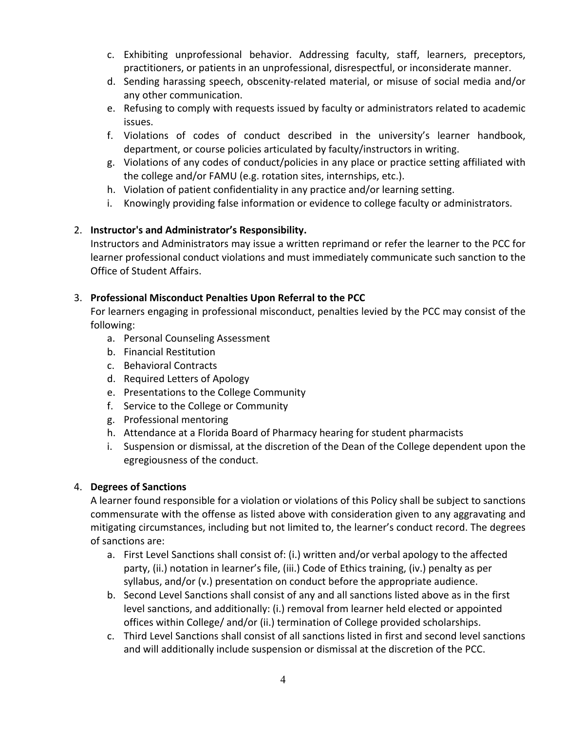- c. Exhibiting unprofessional behavior. Addressing faculty, staff, learners, preceptors, practitioners, or patients in an unprofessional, disrespectful, or inconsiderate manner.
- d. Sending harassing speech, obscenity-related material, or misuse of social media and/or any other communication.
- e. Refusing to comply with requests issued by faculty or administrators related to academic issues.
- f. Violations of codes of conduct described in the university's learner handbook, department, or course policies articulated by faculty/instructors in writing.
- g. Violations of any codes of conduct/policies in any place or practice setting affiliated with the college and/or FAMU (e.g. rotation sites, internships, etc.).
- h. Violation of patient confidentiality in any practice and/or learning setting.
- i. Knowingly providing false information or evidence to college faculty or administrators.

# 2. **Instructor's and Administrator's Responsibility.**

Instructors and Administrators may issue a written reprimand or refer the learner to the PCC for learner professional conduct violations and must immediately communicate such sanction to the Office of Student Affairs.

# 3. **Professional Misconduct Penalties Upon Referral to the PCC**

For learners engaging in professional misconduct, penalties levied by the PCC may consist of the following:

- a. Personal Counseling Assessment
- b. Financial Restitution
- c. Behavioral Contracts
- d. Required Letters of Apology
- e. Presentations to the College Community
- f. Service to the College or Community
- g. Professional mentoring
- h. Attendance at a Florida Board of Pharmacy hearing for student pharmacists
- i. Suspension or dismissal, at the discretion of the Dean of the College dependent upon the egregiousness of the conduct.

## 4. **Degrees of Sanctions**

A learner found responsible for a violation or violations of this Policy shall be subject to sanctions commensurate with the offense as listed above with consideration given to any aggravating and mitigating circumstances, including but not limited to, the learner's conduct record. The degrees of sanctions are:

- a. First Level Sanctions shall consist of: (i.) written and/or verbal apology to the affected party, (ii.) notation in learner's file, (iii.) Code of Ethics training, (iv.) penalty as per syllabus, and/or (v.) presentation on conduct before the appropriate audience.
- b. Second Level Sanctions shall consist of any and all sanctions listed above as in the first level sanctions, and additionally: (i.) removal from learner held elected or appointed offices within College/ and/or (ii.) termination of College provided scholarships.
- c. Third Level Sanctions shall consist of all sanctions listed in first and second level sanctions and will additionally include suspension or dismissal at the discretion of the PCC.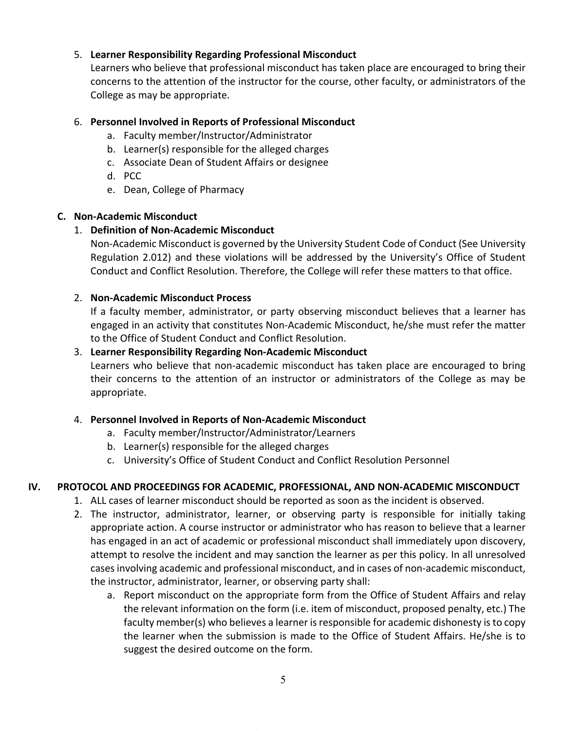## 5. **Learner Responsibility Regarding Professional Misconduct**

Learners who believe that professional misconduct has taken place are encouraged to bring their concerns to the attention of the instructor for the course, other faculty, or administrators of the College as may be appropriate.

## 6. **Personnel Involved in Reports of Professional Misconduct**

- a. Faculty member/Instructor/Administrator
- b. Learner(s) responsible for the alleged charges
- c. Associate Dean of Student Affairs or designee
- d. PCC
- e. Dean, College of Pharmacy

## **C. Non-Academic Misconduct**

## 1. **Definition of Non-Academic Misconduct**

Non-Academic Misconduct is governed by the University Student Code of Conduct (See University Regulation 2.012) and these violations will be addressed by the University's Office of Student Conduct and Conflict Resolution. Therefore, the College will refer these matters to that office.

## 2. **Non-Academic Misconduct Process**

If a faculty member, administrator, or party observing misconduct believes that a learner has engaged in an activity that constitutes Non-Academic Misconduct, he/she must refer the matter to the Office of Student Conduct and Conflict Resolution.

## 3. **Learner Responsibility Regarding Non-Academic Misconduct**

Learners who believe that non-academic misconduct has taken place are encouraged to bring their concerns to the attention of an instructor or administrators of the College as may be appropriate.

## 4. **Personnel Involved in Reports of Non-Academic Misconduct**

- a. Faculty member/Instructor/Administrator/Learners
- b. Learner(s) responsible for the alleged charges
- c. University's Office of Student Conduct and Conflict Resolution Personnel

## **IV. PROTOCOL AND PROCEEDINGS FOR ACADEMIC, PROFESSIONAL, AND NON-ACADEMIC MISCONDUCT**

- 1. ALL cases of learner misconduct should be reported as soon as the incident is observed.
	- 2. The instructor, administrator, learner, or observing party is responsible for initially taking appropriate action. A course instructor or administrator who has reason to believe that a learner has engaged in an act of academic or professional misconduct shall immediately upon discovery, attempt to resolve the incident and may sanction the learner as per this policy. In all unresolved cases involving academic and professional misconduct, and in cases of non-academic misconduct, the instructor, administrator, learner, or observing party shall:
		- a. Report misconduct on the appropriate form from the Office of Student Affairs and relay the relevant information on the form (i.e. item of misconduct, proposed penalty, etc.) The faculty member(s) who believes a learner is responsible for academic dishonesty is to copy the learner when the submission is made to the Office of Student Affairs. He/she is to suggest the desired outcome on the form.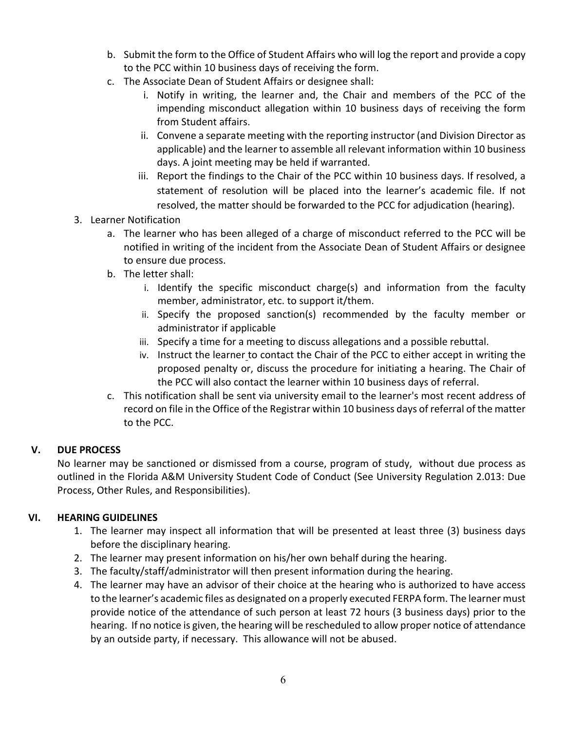- b. Submit the form to the Office of Student Affairs who will log the report and provide a copy to the PCC within 10 business days of receiving the form.
- c. The Associate Dean of Student Affairs or designee shall:
	- i. Notify in writing, the learner and, the Chair and members of the PCC of the impending misconduct allegation within 10 business days of receiving the form from Student affairs.
	- ii. Convene a separate meeting with the reporting instructor (and Division Director as applicable) and the learner to assemble all relevant information within 10 business days. A joint meeting may be held if warranted.
	- iii. Report the findings to the Chair of the PCC within 10 business days. If resolved, a statement of resolution will be placed into the learner's academic file. If not resolved, the matter should be forwarded to the PCC for adjudication (hearing).
- 3. Learner Notification
	- a. The learner who has been alleged of a charge of misconduct referred to the PCC will be notified in writing of the incident from the Associate Dean of Student Affairs or designee to ensure due process.
	- b. The letter shall:
		- i. Identify the specific misconduct charge(s) and information from the faculty member, administrator, etc. to support it/them.
		- ii. Specify the proposed sanction(s) recommended by the faculty member or administrator if applicable
		- iii. Specify a time for a meeting to discuss allegations and a possible rebuttal.
		- iv. Instruct the learner to contact the Chair of the PCC to either accept in writing the proposed penalty or, discuss the procedure for initiating a hearing. The Chair of the PCC will also contact the learner within 10 business days of referral.
	- c. This notification shall be sent via university email to the learner's most recent address of record on file in the Office of the Registrar within 10 business days of referral of the matter to the PCC.

#### **V. DUE PROCESS**

No learner may be sanctioned or dismissed from a course, program of study, without due process as outlined in the Florida A&M University Student Code of Conduct (See University Regulation 2.013: Due Process, Other Rules, and Responsibilities).

## **VI. HEARING GUIDELINES**

- 1. The learner may inspect all information that will be presented at least three (3) business days before the disciplinary hearing.
- 2. The learner may present information on his/her own behalf during the hearing.
- 3. The faculty/staff/administrator will then present information during the hearing.
- 4. The learner may have an advisor of their choice at the hearing who is authorized to have access to the learner's academic files as designated on a properly executed FERPA form. The learner must provide notice of the attendance of such person at least 72 hours (3 business days) prior to the hearing. If no notice is given, the hearing will be rescheduled to allow proper notice of attendance by an outside party, if necessary. This allowance will not be abused.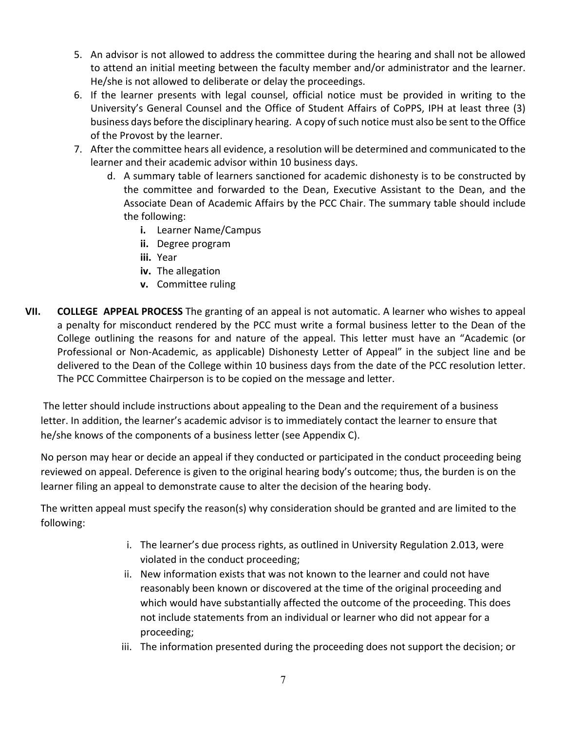- 5. An advisor is not allowed to address the committee during the hearing and shall not be allowed to attend an initial meeting between the faculty member and/or administrator and the learner. He/she is not allowed to deliberate or delay the proceedings.
- 6. If the learner presents with legal counsel, official notice must be provided in writing to the University's General Counsel and the Office of Student Affairs of CoPPS, IPH at least three (3) business days before the disciplinary hearing. A copy of such notice must also be sent to the Office of the Provost by the learner.
- 7. After the committee hears all evidence, a resolution will be determined and communicated to the learner and their academic advisor within 10 business days.
	- d. A summary table of learners sanctioned for academic dishonesty is to be constructed by the committee and forwarded to the Dean, Executive Assistant to the Dean, and the Associate Dean of Academic Affairs by the PCC Chair. The summary table should include the following:
		- **i.** Learner Name/Campus
		- **ii.** Degree program
		- **iii.** Year
		- **iv.** The allegation
		- **v.** Committee ruling
- **VII. COLLEGE APPEAL PROCESS** The granting of an appeal is not automatic. A learner who wishes to appeal a penalty for misconduct rendered by the PCC must write a formal business letter to the Dean of the College outlining the reasons for and nature of the appeal. This letter must have an "Academic (or Professional or Non-Academic, as applicable) Dishonesty Letter of Appeal" in the subject line and be delivered to the Dean of the College within 10 business days from the date of the PCC resolution letter. The PCC Committee Chairperson is to be copied on the message and letter.

The letter should include instructions about appealing to the Dean and the requirement of a business letter. In addition, the learner's academic advisor is to immediately contact the learner to ensure that he/she knows of the components of a business letter (see Appendix C).

No person may hear or decide an appeal if they conducted or participated in the conduct proceeding being reviewed on appeal. Deference is given to the original hearing body's outcome; thus, the burden is on the learner filing an appeal to demonstrate cause to alter the decision of the hearing body.

The written appeal must specify the reason(s) why consideration should be granted and are limited to the following:

- i. The learner's due process rights, as outlined in University Regulation 2.013, were violated in the conduct proceeding;
- ii. New information exists that was not known to the learner and could not have reasonably been known or discovered at the time of the original proceeding and which would have substantially affected the outcome of the proceeding. This does not include statements from an individual or learner who did not appear for a proceeding;
- iii. The information presented during the proceeding does not support the decision; or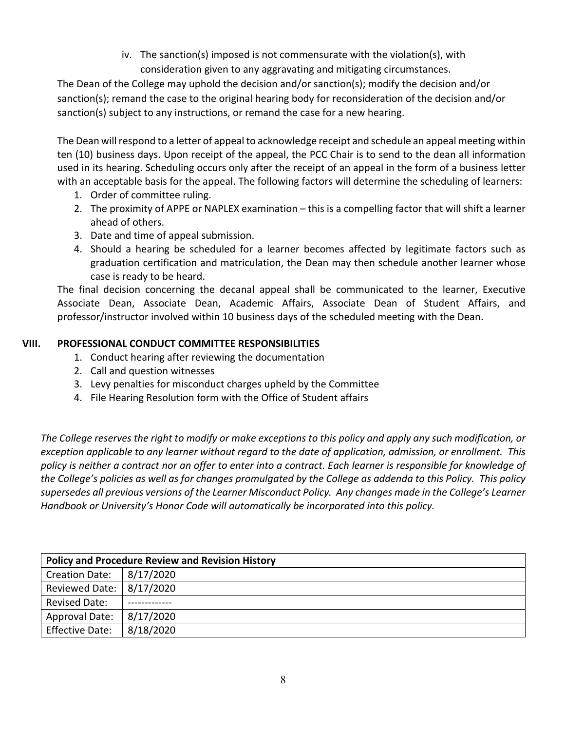iv. The sanction(s) imposed is not commensurate with the violation(s), with consideration given to any aggravating and mitigating circumstances.

The Dean of the College may uphold the decision and/or sanction(s); modify the decision and/or sanction(s); remand the case to the original hearing body for reconsideration of the decision and/or sanction(s) subject to any instructions, or remand the case for a new hearing.

The Dean will respond to a letter of appeal to acknowledge receipt and schedule an appeal meeting within ten (10) business days. Upon receipt of the appeal, the PCC Chair is to send to the dean all information used in its hearing. Scheduling occurs only after the receipt of an appeal in the form of a business letter with an acceptable basis for the appeal. The following factors will determine the scheduling of learners:

- 1. Order of committee ruling.
- 2. The proximity of APPE or NAPLEX examination this is a compelling factor that will shift a learner ahead of others.
- 3. Date and time of appeal submission.
- 4. Should a hearing be scheduled for a learner becomes affected by legitimate factors such as graduation certification and matriculation, the Dean may then schedule another learner whose case is ready to be heard.

The final decision concerning the decanal appeal shall be communicated to the learner, Executive Associate Dean, Associate Dean, Academic Affairs, Associate Dean of Student Affairs, and professor/instructor involved within 10 business days of the scheduled meeting with the Dean.

# **VIII. PROFESSIONAL CONDUCT COMMITTEE RESPONSIBILITIES**

- 1. Conduct hearing after reviewing the documentation
- 2. Call and question witnesses
- 3. Levy penalties for misconduct charges upheld by the Committee
- 4. File Hearing Resolution form with the Office of Student affairs

*The College reserves the right to modify or make exceptions to this policy and apply any such modification, or exception applicable to any learner without regard to the date of application, admission, or enrollment. This policy is neither a contract nor an offer to enter into a contract. Each learner is responsible for knowledge of the College's policies as well as for changes promulgated by the College as addenda to this Policy. This policy supersedes all previous versions of the Learner Misconduct Policy. Any changes made in the College's Learner Handbook or University's Honor Code will automatically be incorporated into this policy.*

| <b>Policy and Procedure Review and Revision History</b> |           |  |
|---------------------------------------------------------|-----------|--|
| <b>Creation Date:</b>                                   | 8/17/2020 |  |
| Reviewed Date: 8/17/2020                                |           |  |
| <b>Revised Date:</b>                                    |           |  |
| <b>Approval Date:</b>                                   | 8/17/2020 |  |
| <b>Effective Date:</b>                                  | 8/18/2020 |  |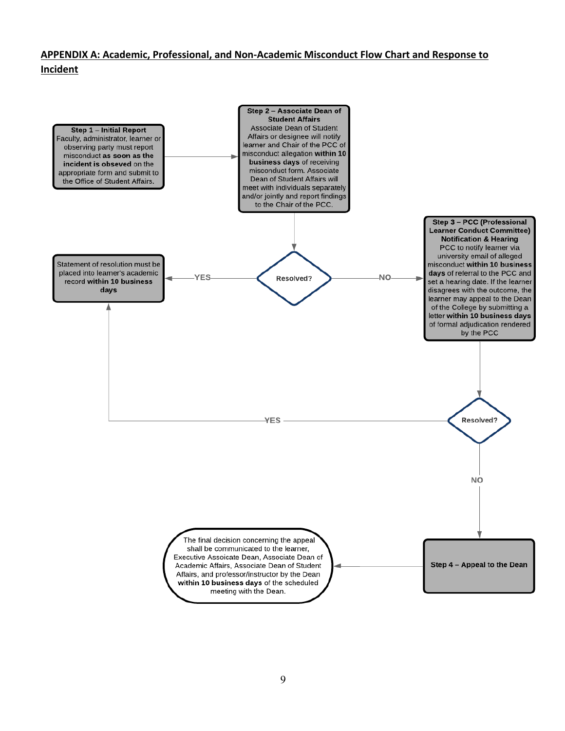## **APPENDIX A: Academic, Professional, and Non-Academic Misconduct Flow Chart and Response to Incident**

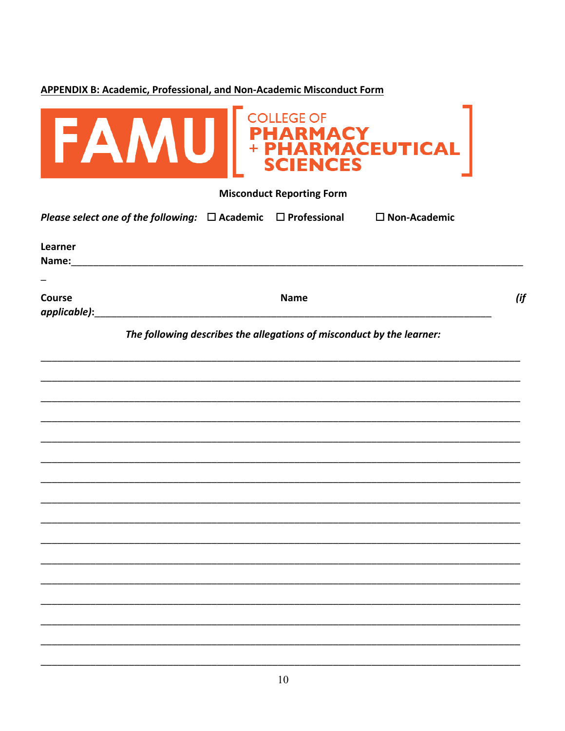# **APPENDIX B: Academic, Professional, and Non-Academic Misconduct Form**

| <b>EAMU</b> PHARMACEUTICAL                                                                                                              |     |
|-----------------------------------------------------------------------------------------------------------------------------------------|-----|
| <b>Misconduct Reporting Form</b>                                                                                                        |     |
| Please select one of the following: $\Box$ Academic $\Box$ Professional<br>$\square$ Non-Academic                                       |     |
| Learner<br>Name:                                                                                                                        |     |
| Course<br><b>Name</b><br>applicable): and applicable and applicable of the substantial and applicable of the substantial and applicable | (if |
| The following describes the allegations of misconduct by the learner:                                                                   |     |
|                                                                                                                                         |     |
|                                                                                                                                         |     |
|                                                                                                                                         |     |
|                                                                                                                                         |     |
|                                                                                                                                         |     |
|                                                                                                                                         |     |
|                                                                                                                                         |     |
|                                                                                                                                         |     |
|                                                                                                                                         |     |
|                                                                                                                                         |     |
|                                                                                                                                         |     |